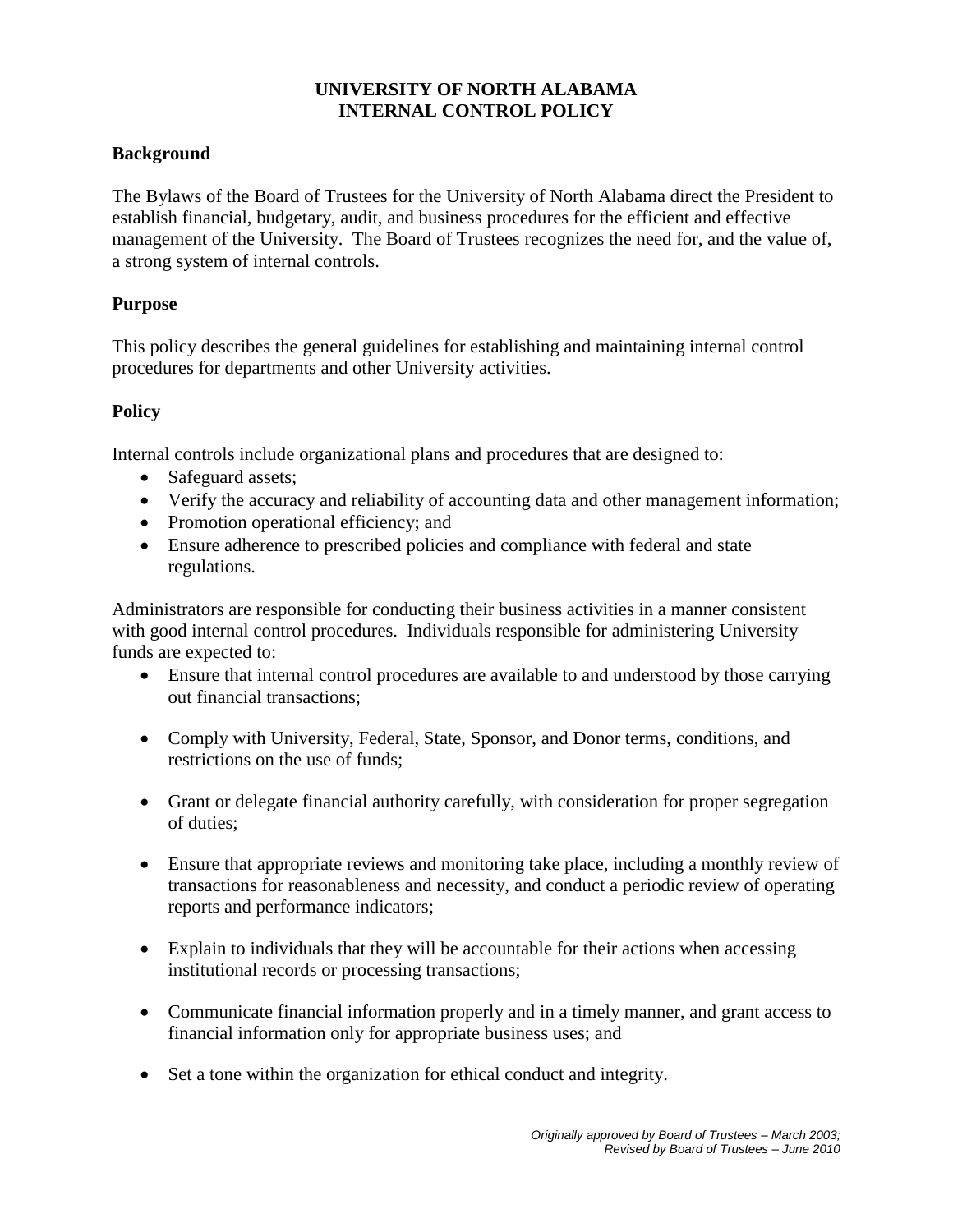### **UNIVERSITY OF NORTH ALABAMA INTERNAL CONTROL POLICY**

### **Background**

The Bylaws of the Board of Trustees for the University of North Alabama direct the President to establish financial, budgetary, audit, and business procedures for the efficient and effective management of the University. The Board of Trustees recognizes the need for, and the value of, a strong system of internal controls.

### **Purpose**

This policy describes the general guidelines for establishing and maintaining internal control procedures for departments and other University activities.

### **Policy**

Internal controls include organizational plans and procedures that are designed to:

- Safeguard assets;
- Verify the accuracy and reliability of accounting data and other management information;
- Promotion operational efficiency; and
- Ensure adherence to prescribed policies and compliance with federal and state regulations.

Administrators are responsible for conducting their business activities in a manner consistent with good internal control procedures. Individuals responsible for administering University funds are expected to:

- Ensure that internal control procedures are available to and understood by those carrying out financial transactions;
- Comply with University, Federal, State, Sponsor, and Donor terms, conditions, and restrictions on the use of funds;
- Grant or delegate financial authority carefully, with consideration for proper segregation of duties;
- Ensure that appropriate reviews and monitoring take place, including a monthly review of transactions for reasonableness and necessity, and conduct a periodic review of operating reports and performance indicators;
- Explain to individuals that they will be accountable for their actions when accessing institutional records or processing transactions;
- Communicate financial information properly and in a timely manner, and grant access to financial information only for appropriate business uses; and
- Set a tone within the organization for ethical conduct and integrity.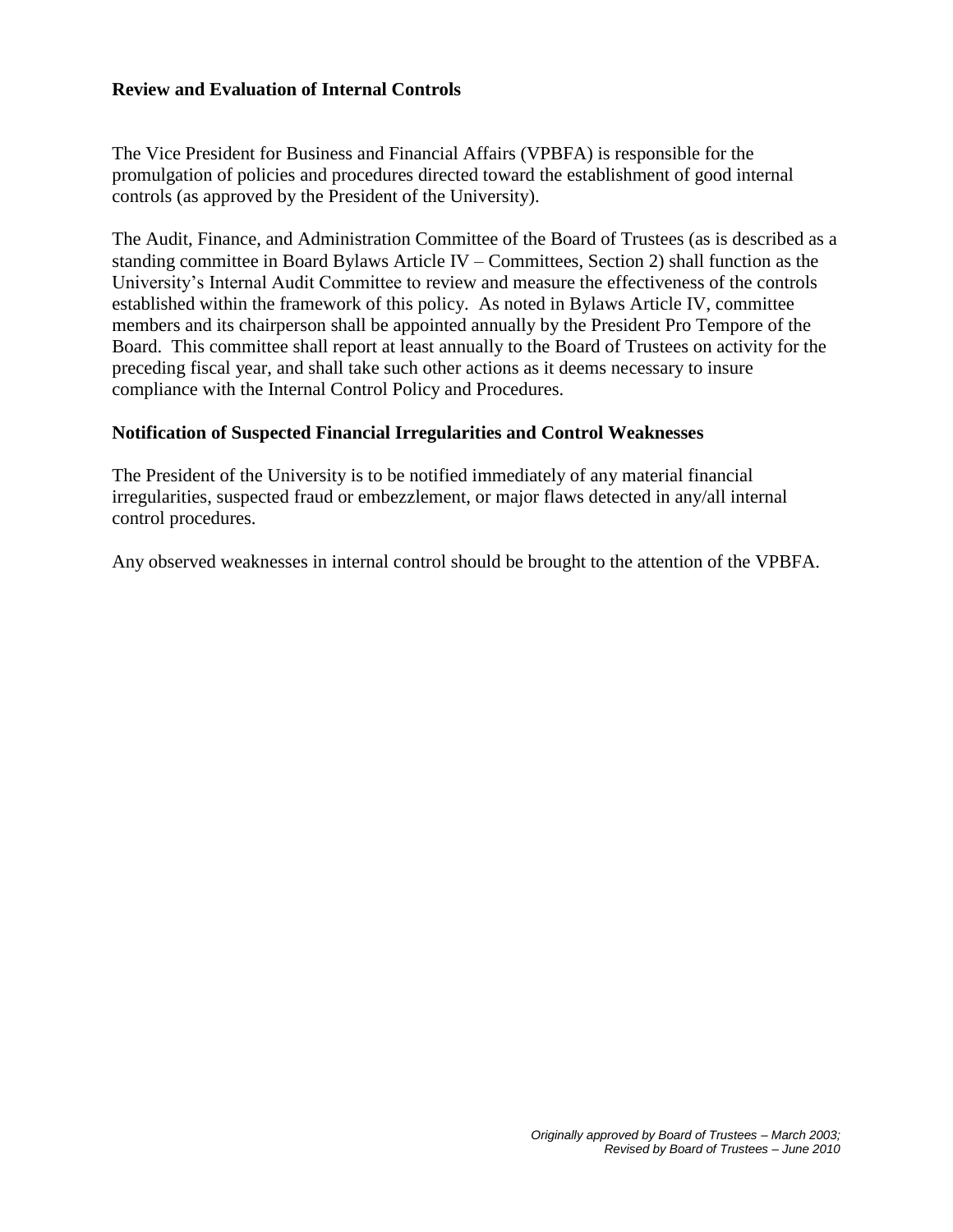#### **Review and Evaluation of Internal Controls**

The Vice President for Business and Financial Affairs (VPBFA) is responsible for the promulgation of policies and procedures directed toward the establishment of good internal controls (as approved by the President of the University).

The Audit, Finance, and Administration Committee of the Board of Trustees (as is described as a standing committee in Board Bylaws Article IV – Committees, Section 2) shall function as the University's Internal Audit Committee to review and measure the effectiveness of the controls established within the framework of this policy. As noted in Bylaws Article IV, committee members and its chairperson shall be appointed annually by the President Pro Tempore of the Board. This committee shall report at least annually to the Board of Trustees on activity for the preceding fiscal year, and shall take such other actions as it deems necessary to insure compliance with the Internal Control Policy and Procedures.

#### **Notification of Suspected Financial Irregularities and Control Weaknesses**

The President of the University is to be notified immediately of any material financial irregularities, suspected fraud or embezzlement, or major flaws detected in any/all internal control procedures.

Any observed weaknesses in internal control should be brought to the attention of the VPBFA.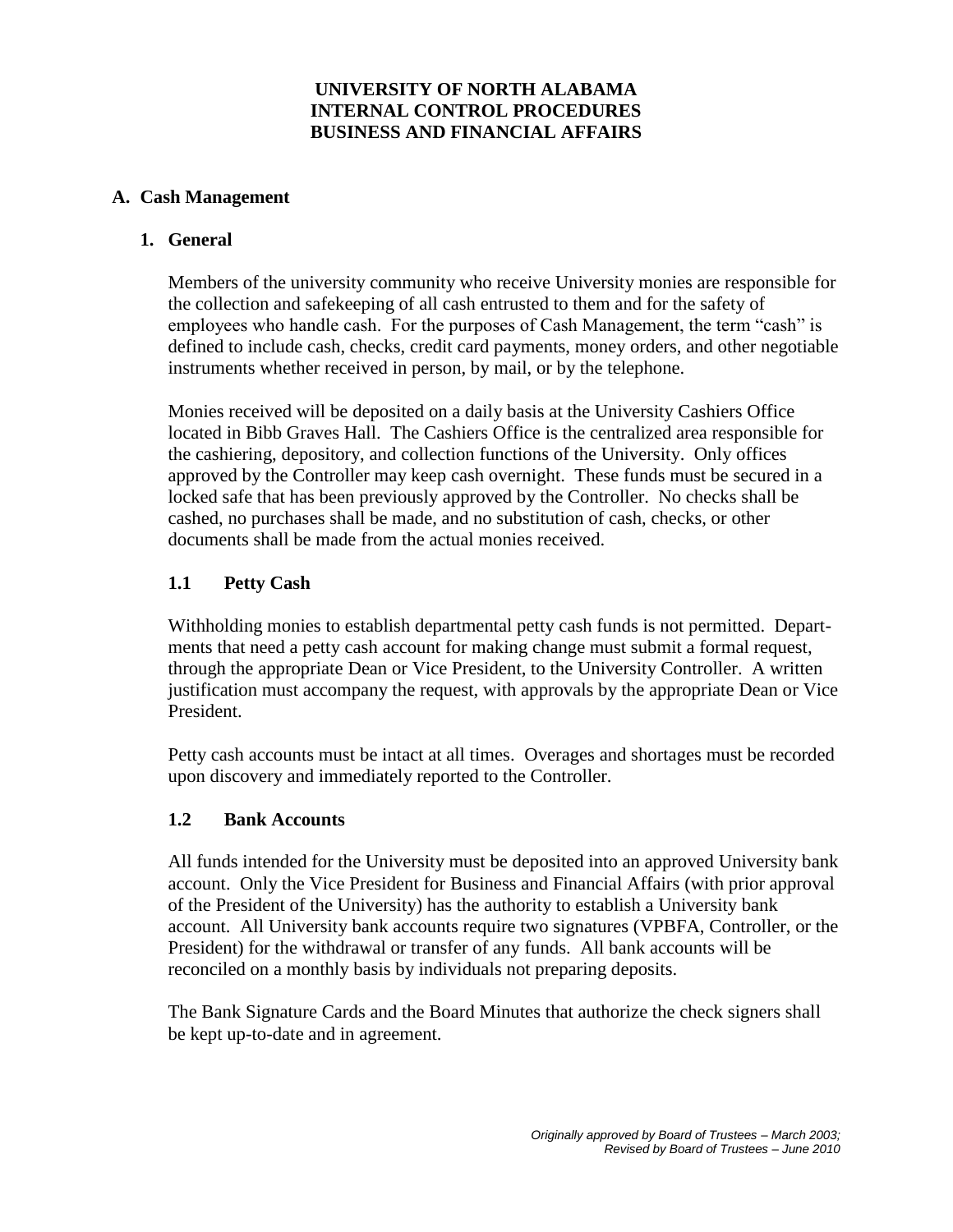### **UNIVERSITY OF NORTH ALABAMA INTERNAL CONTROL PROCEDURES BUSINESS AND FINANCIAL AFFAIRS**

#### **A. Cash Management**

#### **1. General**

Members of the university community who receive University monies are responsible for the collection and safekeeping of all cash entrusted to them and for the safety of employees who handle cash. For the purposes of Cash Management, the term "cash" is defined to include cash, checks, credit card payments, money orders, and other negotiable instruments whether received in person, by mail, or by the telephone.

Monies received will be deposited on a daily basis at the University Cashiers Office located in Bibb Graves Hall. The Cashiers Office is the centralized area responsible for the cashiering, depository, and collection functions of the University. Only offices approved by the Controller may keep cash overnight. These funds must be secured in a locked safe that has been previously approved by the Controller. No checks shall be cashed, no purchases shall be made, and no substitution of cash, checks, or other documents shall be made from the actual monies received.

### **1.1 Petty Cash**

Withholding monies to establish departmental petty cash funds is not permitted. Departments that need a petty cash account for making change must submit a formal request, through the appropriate Dean or Vice President, to the University Controller. A written justification must accompany the request, with approvals by the appropriate Dean or Vice President.

Petty cash accounts must be intact at all times. Overages and shortages must be recorded upon discovery and immediately reported to the Controller.

#### **1.2 Bank Accounts**

All funds intended for the University must be deposited into an approved University bank account. Only the Vice President for Business and Financial Affairs (with prior approval of the President of the University) has the authority to establish a University bank account. All University bank accounts require two signatures (VPBFA, Controller, or the President) for the withdrawal or transfer of any funds. All bank accounts will be reconciled on a monthly basis by individuals not preparing deposits.

The Bank Signature Cards and the Board Minutes that authorize the check signers shall be kept up-to-date and in agreement.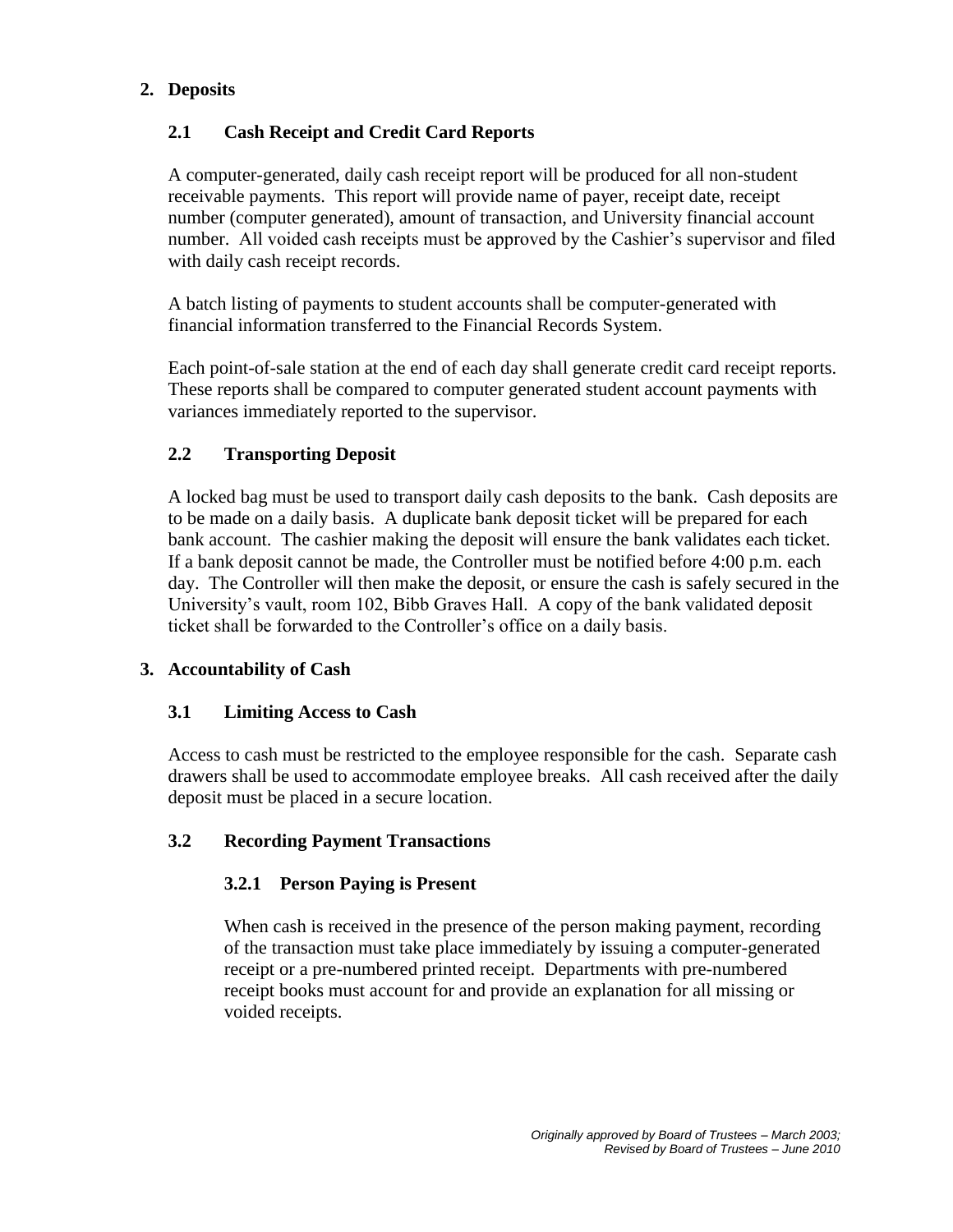## **2. Deposits**

# **2.1 Cash Receipt and Credit Card Reports**

A computer-generated, daily cash receipt report will be produced for all non-student receivable payments. This report will provide name of payer, receipt date, receipt number (computer generated), amount of transaction, and University financial account number. All voided cash receipts must be approved by the Cashier's supervisor and filed with daily cash receipt records.

A batch listing of payments to student accounts shall be computer-generated with financial information transferred to the Financial Records System.

Each point-of-sale station at the end of each day shall generate credit card receipt reports. These reports shall be compared to computer generated student account payments with variances immediately reported to the supervisor.

### **2.2 Transporting Deposit**

A locked bag must be used to transport daily cash deposits to the bank. Cash deposits are to be made on a daily basis. A duplicate bank deposit ticket will be prepared for each bank account. The cashier making the deposit will ensure the bank validates each ticket. If a bank deposit cannot be made, the Controller must be notified before 4:00 p.m. each day. The Controller will then make the deposit, or ensure the cash is safely secured in the University's vault, room 102, Bibb Graves Hall. A copy of the bank validated deposit ticket shall be forwarded to the Controller's office on a daily basis.

### **3. Accountability of Cash**

### **3.1 Limiting Access to Cash**

Access to cash must be restricted to the employee responsible for the cash. Separate cash drawers shall be used to accommodate employee breaks. All cash received after the daily deposit must be placed in a secure location.

### **3.2 Recording Payment Transactions**

### **3.2.1 Person Paying is Present**

When cash is received in the presence of the person making payment, recording of the transaction must take place immediately by issuing a computer-generated receipt or a pre-numbered printed receipt. Departments with pre-numbered receipt books must account for and provide an explanation for all missing or voided receipts.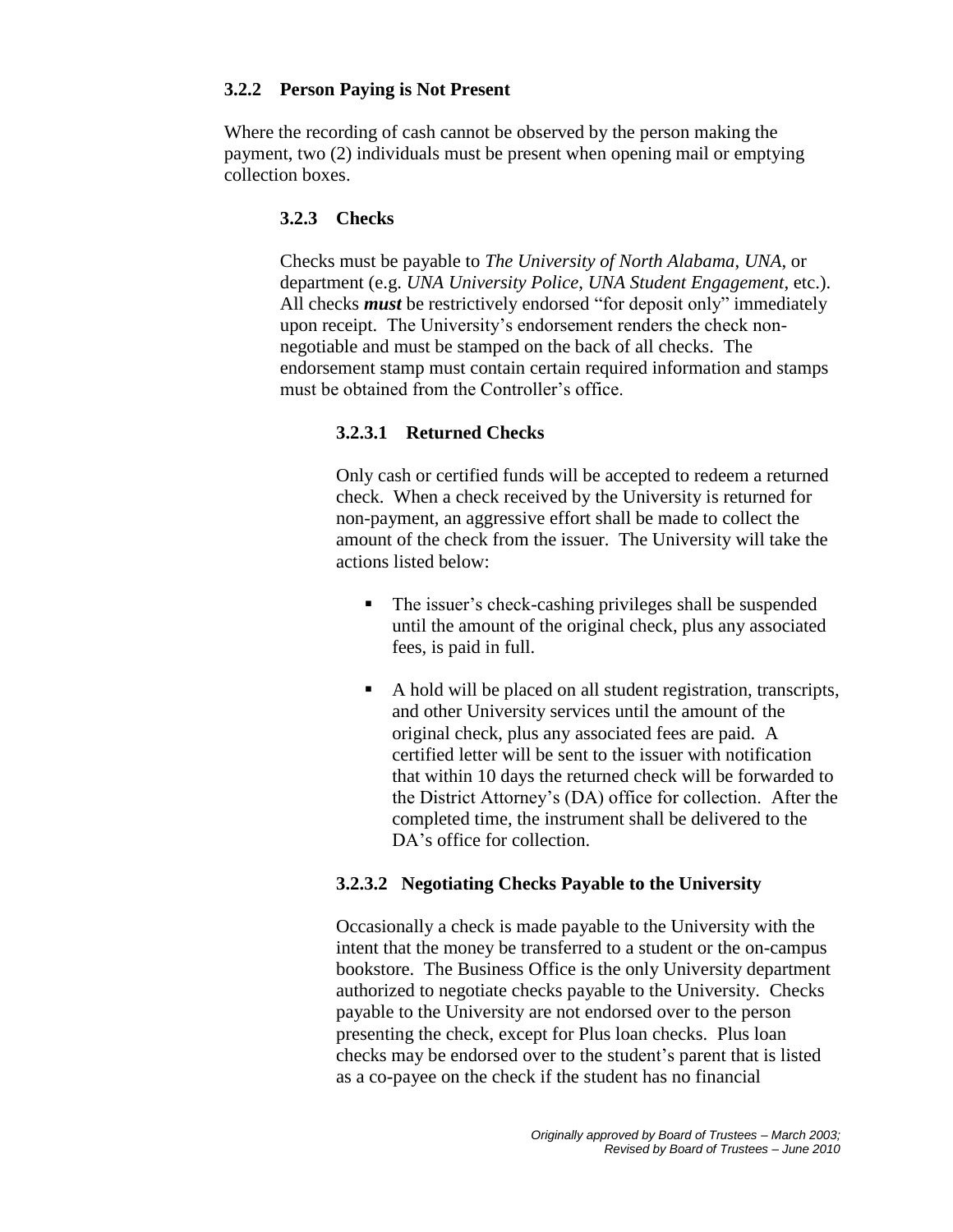### **3.2.2 Person Paying is Not Present**

Where the recording of cash cannot be observed by the person making the payment, two (2) individuals must be present when opening mail or emptying collection boxes.

# **3.2.3 Checks**

Checks must be payable to *The University of North Alabama*, *UNA*, or department (e.g. *UNA University Police*, *UNA Student Engagement*, etc.). All checks *must* be restrictively endorsed "for deposit only" immediately upon receipt. The University's endorsement renders the check nonnegotiable and must be stamped on the back of all checks. The endorsement stamp must contain certain required information and stamps must be obtained from the Controller's office.

# **3.2.3.1 Returned Checks**

Only cash or certified funds will be accepted to redeem a returned check. When a check received by the University is returned for non-payment, an aggressive effort shall be made to collect the amount of the check from the issuer. The University will take the actions listed below:

- The issuer's check-cashing privileges shall be suspended until the amount of the original check, plus any associated fees, is paid in full.
- A hold will be placed on all student registration, transcripts, and other University services until the amount of the original check, plus any associated fees are paid. A certified letter will be sent to the issuer with notification that within 10 days the returned check will be forwarded to the District Attorney's (DA) office for collection. After the completed time, the instrument shall be delivered to the DA's office for collection.

### **3.2.3.2 Negotiating Checks Payable to the University**

Occasionally a check is made payable to the University with the intent that the money be transferred to a student or the on-campus bookstore. The Business Office is the only University department authorized to negotiate checks payable to the University. Checks payable to the University are not endorsed over to the person presenting the check, except for Plus loan checks. Plus loan checks may be endorsed over to the student's parent that is listed as a co-payee on the check if the student has no financial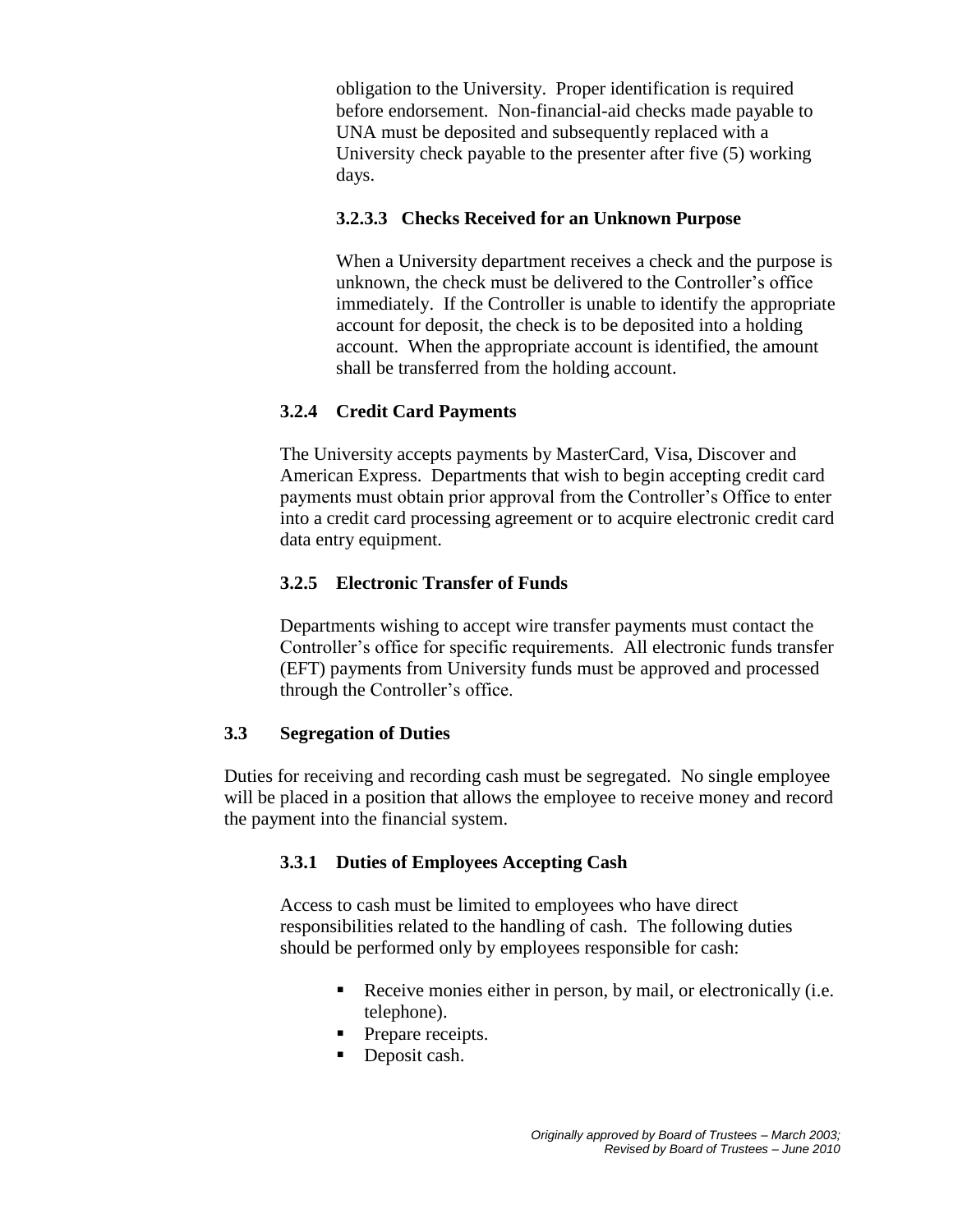obligation to the University. Proper identification is required before endorsement. Non-financial-aid checks made payable to UNA must be deposited and subsequently replaced with a University check payable to the presenter after five (5) working days.

# **3.2.3.3 Checks Received for an Unknown Purpose**

When a University department receives a check and the purpose is unknown, the check must be delivered to the Controller's office immediately. If the Controller is unable to identify the appropriate account for deposit, the check is to be deposited into a holding account. When the appropriate account is identified, the amount shall be transferred from the holding account.

## **3.2.4 Credit Card Payments**

The University accepts payments by MasterCard, Visa, Discover and American Express. Departments that wish to begin accepting credit card payments must obtain prior approval from the Controller's Office to enter into a credit card processing agreement or to acquire electronic credit card data entry equipment.

### **3.2.5 Electronic Transfer of Funds**

Departments wishing to accept wire transfer payments must contact the Controller's office for specific requirements. All electronic funds transfer (EFT) payments from University funds must be approved and processed through the Controller's office.

### **3.3 Segregation of Duties**

Duties for receiving and recording cash must be segregated. No single employee will be placed in a position that allows the employee to receive money and record the payment into the financial system.

### **3.3.1 Duties of Employees Accepting Cash**

Access to cash must be limited to employees who have direct responsibilities related to the handling of cash. The following duties should be performed only by employees responsible for cash:

- Receive monies either in person, by mail, or electronically (i.e. telephone).
- Prepare receipts.
- Deposit cash.